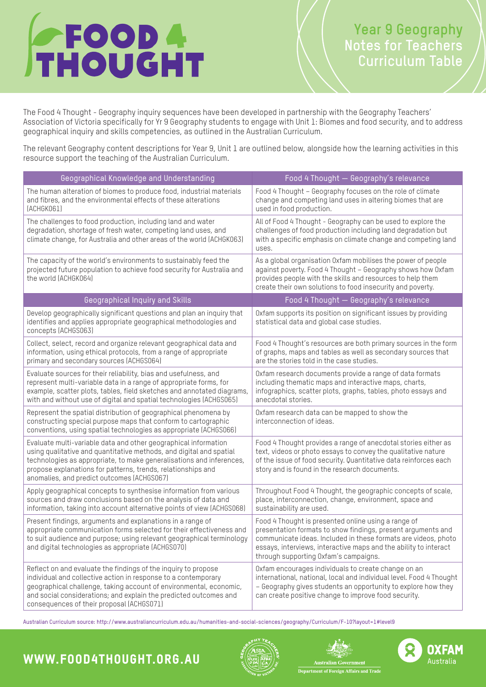# **FOOD 4**

and how to fix our broken for  $\alpha$  our broken for  $\alpha$ 

# **Year 9 Geography Notes for Teachers Curriculum Table**

The Food 4 Thought - Geography inquiry sequences have been developed in partnership with the Geography Teachers' Association of Victoria specifically for Yr 9 Geography students to engage with Unit 1: Biomes and food security, and to address geographical inquiry and skills competencies, as outlined in the Australian Curriculum.

The relevant Geography content descriptions for Year 9, Unit 1 are outlined below, alongside how the learning activities in this resource support the teaching of the Australian Curriculum.

| Geographical Knowledge and Understanding                                                                                                                                                                                                                                                                                     | Food 4 Thought - Geography's relevance                                                                                                                                                                                                                                                             |
|------------------------------------------------------------------------------------------------------------------------------------------------------------------------------------------------------------------------------------------------------------------------------------------------------------------------------|----------------------------------------------------------------------------------------------------------------------------------------------------------------------------------------------------------------------------------------------------------------------------------------------------|
| The human alteration of biomes to produce food, industrial materials<br>and fibres, and the environmental effects of these alterations<br>(ACHGK061)                                                                                                                                                                         | Food 4 Thought - Geography focuses on the role of climate<br>change and competing land uses in altering biomes that are<br>used in food production.                                                                                                                                                |
| The challenges to food production, including land and water<br>degradation, shortage of fresh water, competing land uses, and<br>climate change, for Australia and other areas of the world (ACHGK063)                                                                                                                       | All of Food 4 Thought - Geography can be used to explore the<br>challenges of food production including land degradation but<br>with a specific emphasis on climate change and competing land<br>uses.                                                                                             |
| The capacity of the world's environments to sustainably feed the<br>projected future population to achieve food security for Australia and<br>the world (ACHGK064)                                                                                                                                                           | As a global organisation Oxfam mobilises the power of people<br>against poverty. Food 4 Thought - Geography shows how Oxfam<br>provides people with the skills and resources to help them<br>create their own solutions to food insecurity and poverty.                                            |
| Geographical Inquiry and Skills                                                                                                                                                                                                                                                                                              | Food 4 Thought - Geography's relevance                                                                                                                                                                                                                                                             |
| Develop geographically significant questions and plan an inquiry that<br>identifies and applies appropriate geographical methodologies and<br>concepts (ACHGS063)                                                                                                                                                            | Oxfam supports its position on significant issues by providing<br>statistical data and global case studies.                                                                                                                                                                                        |
| Collect, select, record and organize relevant geographical data and<br>information, using ethical protocols, from a range of appropriate<br>primary and secondary sources (ACHGS064)                                                                                                                                         | Food 4 Thought's resources are both primary sources in the form<br>of graphs, maps and tables as well as secondary sources that<br>are the stories told in the case studies.                                                                                                                       |
| Evaluate sources for their reliability, bias and usefulness, and<br>represent multi-variable data in a range of appropriate forms, for<br>example, scatter plots, tables, field sketches and annotated diagrams,<br>with and without use of digital and spatial technologies (ACHGS065)                                      | Oxfam research documents provide a range of data formats<br>including thematic maps and interactive maps, charts,<br>infographics, scatter plots, graphs, tables, photo essays and<br>anecdotal stories.                                                                                           |
| Represent the spatial distribution of geographical phenomena by<br>constructing special purpose maps that conform to cartographic<br>conventions, using spatial technologies as appropriate (ACHGS066)                                                                                                                       | Oxfam research data can be mapped to show the<br>interconnection of ideas.                                                                                                                                                                                                                         |
| Evaluate multi-variable data and other geographical information<br>using qualitative and quantitative methods, and digital and spatial<br>technologies as appropriate, to make generalisations and inferences,<br>propose explanations for patterns, trends, relationships and<br>anomalies, and predict outcomes (ACHGS067) | Food 4 Thought provides a range of anecdotal stories either as<br>text, videos or photo essays to convey the qualitative nature<br>of the issue of food security. Quantitative data reinforces each<br>story and is found in the research documents.                                               |
| Apply geographical concepts to synthesise information from various<br>sources and draw conclusions based on the analysis of data and<br>information, taking into account alternative points of view (ACHGS068)                                                                                                               | Throughout Food 4 Thought, the geographic concepts of scale,<br>place, interconnection, change, environment, space and<br>sustainability are used.                                                                                                                                                 |
| Present findings, arguments and explanations in a range of<br>appropriate communication forms selected for their effectiveness and<br>to suit audience and purpose; using relevant geographical terminology<br>and digital technologies as appropriate (ACHGS070)                                                            | Food 4 Thought is presented online using a range of<br>presentation formats to show findings, present arguments and<br>communicate ideas. Included in these formats are videos, photo<br>essays, interviews, interactive maps and the ability to interact<br>through supporting Oxfam's campaigns. |
| Reflect on and evaluate the findings of the inquiry to propose<br>individual and collective action in response to a contemporary<br>geographical challenge, taking account of environmental, economic,<br>and social considerations; and explain the predicted outcomes and<br>consequences of their proposal (ACHGS071)     | Oxfam encourages individuals to create change on an<br>international, national, local and individual level. Food 4 Thought<br>- Geography gives students an opportunity to explore how they<br>can create positive change to improve food security.                                                |

Australian Curriculum source: http://www.australiancurriculum.edu.au/humanities-and-social-sciences/geography/Curriculum/F-10?layout=1#level9

# www.food4thought.org.au







**Department of Foreign Affairs and Trade**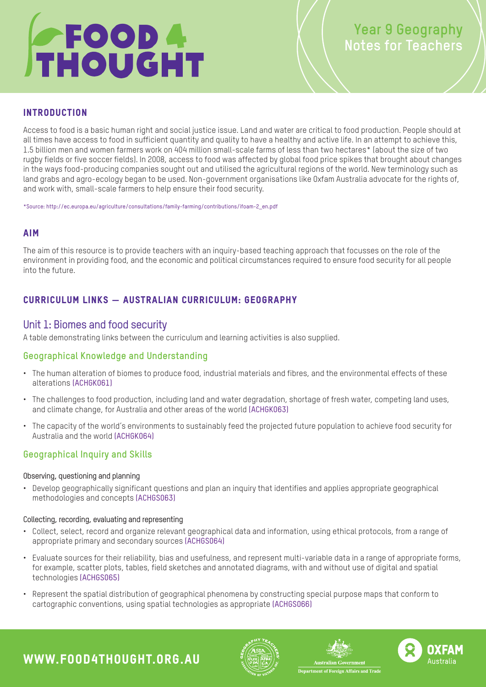# **FOOD 4**

and how to fix our broken for  $\alpha$  our broken for  $\alpha$ 

# **Year 9 Geography Notes for Teachers**

# **INTRODUCTION**

land grabs and agro-ecology began to be used. Non-gov<br>and work with .small-scale farmers to help ensure their and work with, small-scale farmers to help ensure their food security.<br>. Access to food is a basic human right and social justice issue. Land and water are critical to food production. People should at all times have access to food in sufficient quantity and quality to have a healthy and active life. In an attempt to achieve this, 1.5 billion men and women farmers work on 404 million small-scale farms of less than two hectares\* (about the size of two rugby fields or five soccer fields). In 2008, access to food was affected by global food price spikes that brought about changes in the ways food-producing companies sought out and utilised the agricultural regions of the world. New terminology such as land grabs and agro-ecology began to be used. Non-government organisations like Oxfam Australia advocate for the rights of,

\*Source: [http://ec.europa.eu/agriculture/consultations/family-farming/contributions/ifoam-2\\_en.pdf](http://ec.europa.eu/agriculture/consultations/family-farming/contributions/ifoam-2_en.pdf )

# Aim

The aim of this resource is to provide teachers with an inquiry-based teaching approach that focusses on the role of the environment in providing food, and the economic and political circumstances required to ensure food security for all people into the future.

# Curriculum links — Australian Curriculum: Geography

# Unit 1: Biomes and food security

A table demonstrating links between the curriculum and learning activities is also supplied.

# **Geographical Knowledge and Understanding**

- The human alteration of biomes to produce food, industrial materials and fibres, and the environmental effects of these alterations [\(ACHGK061\)](http://www.australiancurriculum.edu.au/Curriculum/ContentDescription/ACHGK061)
- The challenges to food production, including land and water degradation, shortage of fresh water, competing land uses, and climate change, for Australia and other areas of the world [\(ACHGK063\)](http://www.australiancurriculum.edu.au/Curriculum/ContentDescription/ACHGK063)
- The capacity of the world's environments to sustainably feed the projected future population to achieve food security for Australia and the world [\(ACHGK064\)](http://www.australiancurriculum.edu.au/Curriculum/ContentDescription/ACHGK064)

# **Geographical Inquiry and Skills**

### Observing, questioning and planning

• Develop geographically significant questions and plan an inquiry that identifies and applies appropriate geographical methodologies and concepts [\(ACHGS063\)](http://www.australiancurriculum.edu.au/Curriculum/ContentDescription/ACHGS063)

### Collecting, recording, evaluating and representing

- Collect, select, record and organize relevant geographical data and information, using ethical protocols, from a range of appropriate primary and secondary sources [\(ACHGS064\)](http://www.australiancurriculum.edu.au/Curriculum/ContentDescription/ACHGS064)
- Evaluate sources for their reliability, bias and usefulness, and represent multi-variable data in a range of appropriate forms, for example, scatter plots, tables, field sketches and annotated diagrams, with and without use of digital and spatial technologies [\(ACHGS065\)](http://www.australiancurriculum.edu.au/Curriculum/ContentDescription/ACHGS065)
- Represent the spatial distribution of geographical phenomena by constructing special purpose maps that conform to cartographic conventions, using spatial technologies as appropriate [\(ACHGS066\)](http://www.australiancurriculum.edu.au/Curriculum/ContentDescription/ACHGS066)







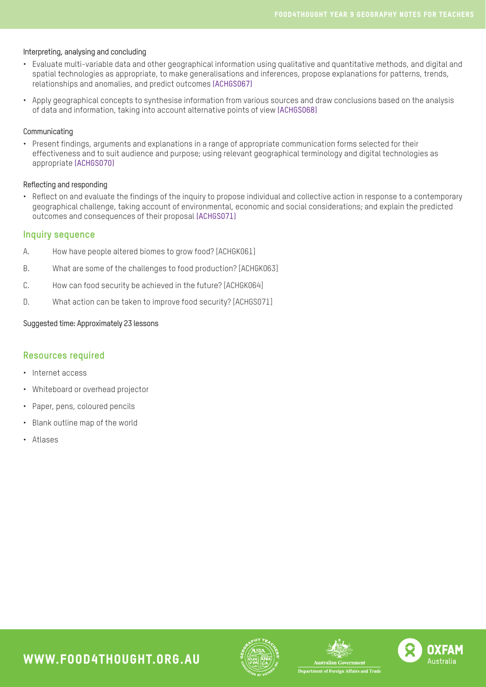#### Interpreting, analysing and concluding

- Evaluate multi-variable data and other geographical information using qualitative and quantitative methods, and digital and spatial technologies as appropriate, to make generalisations and inferences, propose explanations for patterns, trends, relationships and anomalies, and predict outcomes [\(ACHGS067\)](http://www.australiancurriculum.edu.au/Curriculum/ContentDescription/ACHGS067)
- Apply geographical concepts to synthesise information from various sources and draw conclusions based on the analysis of data and information, taking into account alternative points of view [\(ACHGS068\)](http://www.australiancurriculum.edu.au/Curriculum/ContentDescription/ACHGS068)

#### Communicating

• Present findings, arguments and explanations in a range of appropriate communication forms selected for their effectiveness and to suit audience and purpose; using relevant geographical terminology and digital technologies as appropriate [\(ACHGS070\)](http://www.australiancurriculum.edu.au/Curriculum/ContentDescription/ACHGS070)

#### Reflecting and responding

• Reflect on and evaluate the findings of the inquiry to propose individual and collective action in response to a contemporary geographical challenge, taking account of environmental, economic and social considerations; and explain the predicted outcomes and consequences of their proposal [\(ACHGS071\)](http://www.australiancurriculum.edu.au/Curriculum/ContentDescription/ACHGS071)

#### **Inquiry sequence**

- A. How have people altered biomes to grow food? [ACHGK061]
- B. What are some of the challenges to food production? [ACHGK063]
- C. How can food security be achieved in the future? [ACHGK064]
- D. What action can be taken to improve food security? [ACHGS071]

#### Suggested time: Approximately 23 lessons

### **Resources required**

- Internet access
- Whiteboard or overhead projector
- Paper, pens, coloured pencils
- Blank outline map of the world

www.food4thought.org.au

• Atlases







.<br>Department of Foreign Affairs and Trade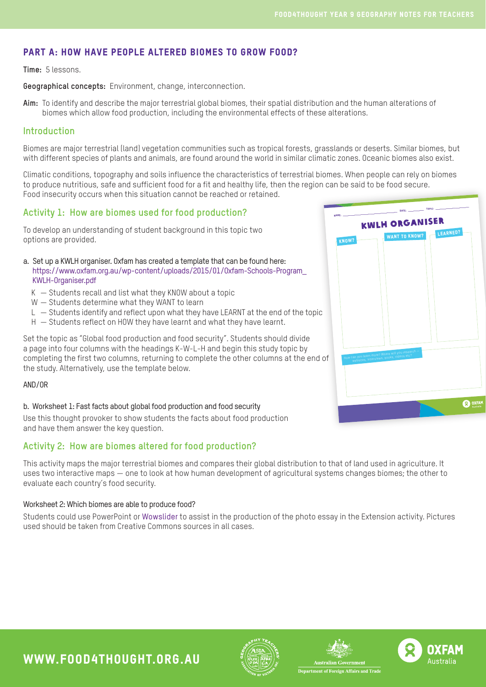# Part A: How have people altered biomes to grow food?

#### **Time:** 5 lessons.

**Geographical concepts:** Environment, change, interconnection.

**Aim:** To identify and describe the major terrestrial global biomes, their spatial distribution and the human alterations of biomes which allow food production, including the environmental effects of these alterations.

## **Introduction**

Biomes are major terrestrial (land) vegetation communities such as tropical forests, grasslands or deserts. Similar biomes, but with different species of plants and animals, are found around the world in similar climatic zones. Oceanic biomes also exist.

Climatic conditions, topography and soils influence the characteristics of terrestrial biomes. When people can rely on biomes to produce nutritious, safe and sufficient food for a fit and healthy life, then the region can be said to be food secure. Food insecurity occurs when this situation cannot be reached or retained.

## **Activity 1: How are biomes used for food production?**

To develop an understanding of student background in this topic two options are provided.

a. Set up a KWLH organiser. Oxfam has created a template that can be found here: [https://www.oxfam.org.au/wp-content/uploads/2015/01/Oxfam-Schools-Program\\_](https://www.oxfam.org.au/wp-content/uploads/2015/01/Oxfam-Schools-Program_KWLH-Organiser.pdf ) [KWLH-Organiser.pdf](https://www.oxfam.org.au/wp-content/uploads/2015/01/Oxfam-Schools-Program_KWLH-Organiser.pdf )

- K Students recall and list what they KNOW about a topic
- W Students determine what they WANT to learn
- L Students identify and reflect upon what they have LEARNT at the end of the topic
- H Students reflect on HOW they have learnt and what they have learnt.



#### AND/OR

#### b. Worksheet 1: Fast facts about global food production and food security

Use this thought provoker to show students the facts about food production and have them answer the key question.

# **Activity 2: How are biomes altered for food production?**

This activity maps the major terrestrial biomes and compares their global distribution to that of land used in agriculture. It uses two interactive maps — one to look at how human development of agricultural systems changes biomes; the other to evaluate each country's food security.

#### Worksheet 2: Which biomes are able to produce food?

Students could use PowerPoint or [Wowslider](wowslider.com) to assist in the production of the photo essay in the Extension activity. Pictures used should be taken from Creative Commons sources in all cases.



www.food4thought.org.au







ent of Foreign Affairs and Trad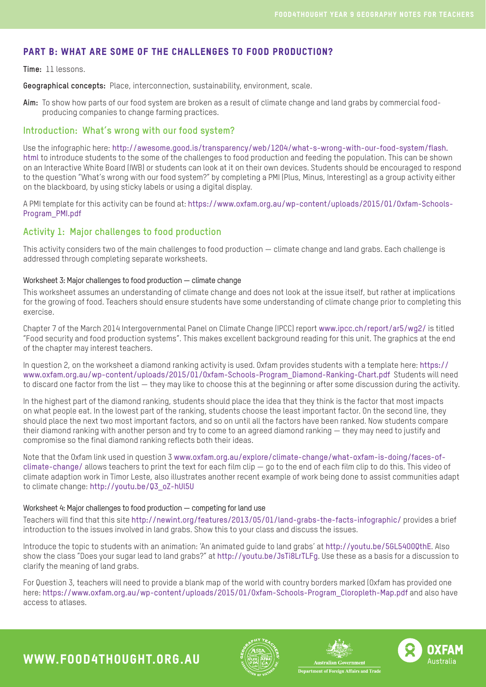# Part B: What are some of the challenges to food production?

#### **Time:** 11 lessons.

**Geographical concepts:** Place, interconnection, sustainability, environment, scale.

**Aim:** To show how parts of our food system are broken as a result of climate change and land grabs by commercial foodproducing companies to change farming practices.

### **Introduction: What's wrong with our food system?**

Use the infographic here: [http://awesome.good.is/transparency/web/1204/what-s-wrong-with-our-food-system/flash.]( http://awesome.good.is/transparency/web/1204/what-s-wrong-with-our-food-system/flash.html ) [html]( http://awesome.good.is/transparency/web/1204/what-s-wrong-with-our-food-system/flash.html ) to introduce students to the some of the challenges to food production and feeding the population. This can be shown on an Interactive White Board (IWB) or students can look at it on their own devices. Students should be encouraged to respond to the question "What's wrong with our food system?" by completing a PMI (Plus, Minus, Interesting) as a group activity either on the blackboard, by using sticky labels or using a digital display.

A PMI template for this activity can be found at: [https://www.oxfam.org.au/wp-content/uploads/2015/01/Oxfam-Schools-](https://www.oxfam.org.au/wp-content/uploads/2015/01/Oxfam-Schools-Program_PMI.pdf)[Program\\_PMI.pdf](https://www.oxfam.org.au/wp-content/uploads/2015/01/Oxfam-Schools-Program_PMI.pdf)

# **Activity 1: Major challenges to food production**

This activity considers two of the main challenges to food production — climate change and land grabs. Each challenge is addressed through completing separate worksheets.

#### Worksheet 3: Major challenges to food production — climate change

This worksheet assumes an understanding of climate change and does not look at the issue itself, but rather at implications for the growing of food. Teachers should ensure students have some understanding of climate change prior to completing this exercise.

Chapter 7 of the March 2014 Intergovernmental Panel on Climate Change (IPCC) report [www.ipcc.ch/report/ar5/wg2/](http://www.ipcc.ch/report/ar5/wg2/) is titled "Food security and food production systems". This makes excellent background reading for this unit. The graphics at the end of the chapter may interest teachers.

In question 2, on the worksheet a diamond ranking activity is used. Oxfam provides students with a template here: [https://](https://www.oxfam.org.au/wp-content/uploads/2015/01/Oxfam-Schools-Program_Diamond-Ranking-Chart.pdf) [www.oxfam.org.au/wp-content/uploads/2015/01/Oxfam-Schools-Program\\_Diamond-Ranking-Chart.pdf](https://www.oxfam.org.au/wp-content/uploads/2015/01/Oxfam-Schools-Program_Diamond-Ranking-Chart.pdf) Students will need to discard one factor from the list — they may like to choose this at the beginning or after some discussion during the activity.

In the highest part of the diamond ranking, students should place the idea that they think is the factor that most impacts on what people eat. In the lowest part of the ranking, students choose the least important factor. On the second line, they should place the next two most important factors, and so on until all the factors have been ranked. Now students compare their diamond ranking with another person and try to come to an agreed diamond ranking — they may need to justify and compromise so the final diamond ranking reflects both their ideas.

Note that the Oxfam link used in question 3 [www.oxfam.org.au/explore/climate-change/what-oxfam-is-doing/faces-of](http://www.oxfam.org.au/explore/climate-change/what-oxfam-is-doing/faces-of-climate-change/)[climate-change/](http://www.oxfam.org.au/explore/climate-change/what-oxfam-is-doing/faces-of-climate-change/) allows teachers to print the text for each film clip — go to the end of each film clip to do this. This video of climate adaption work in Timor Leste, also illustrates another recent example of work being done to assist communities adapt to climate change: [http://youtu.be/Q3\\_oZ-hUl5U]( http://youtu.be/Q3_oZ-hUl5U)

#### Worksheet 4: Major challenges to food production — competing for land use

Teachers will find that this site <http://newint.org/features/2013/05/01/land-grabs-the-facts-infographic/> provides a brief introduction to the issues involved in land grabs. Show this to your class and discuss the issues.

Introduce the topic to students with an animation: 'An animated guide to land grabs' at <http://youtu.be/5GL54O0QthE>. Also show the class "Does your sugar lead to land grabs?" at <http://youtu.be/JsTi8LrTLFg>. Use these as a basis for a discussion to clarify the meaning of land grabs.

For Question 3, teachers will need to provide a blank map of the world with country borders marked (Oxfam has provided one here: [https://www.oxfam.org.au/wp-content/uploads/2015/01/Oxfam-Schools-Program\\_Cloropleth-Map.pdf](https://www.oxfam.org.au/wp-content/uploads/2015/01/Oxfam-Schools-Program_Cloropleth-Map.pdf) and also have access to atlases.

www.food4thought.org.au